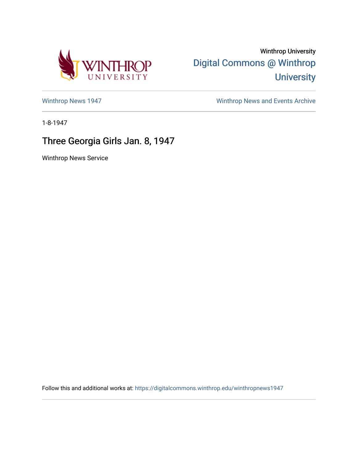

Winthrop University [Digital Commons @ Winthrop](https://digitalcommons.winthrop.edu/)  **University** 

[Winthrop News 1947](https://digitalcommons.winthrop.edu/winthropnews1947) [Winthrop News and Events Archive](https://digitalcommons.winthrop.edu/winthropnewsarchives) 

1-8-1947

## Three Georgia Girls Jan. 8, 1947

Winthrop News Service

Follow this and additional works at: [https://digitalcommons.winthrop.edu/winthropnews1947](https://digitalcommons.winthrop.edu/winthropnews1947?utm_source=digitalcommons.winthrop.edu%2Fwinthropnews1947%2F33&utm_medium=PDF&utm_campaign=PDFCoverPages)